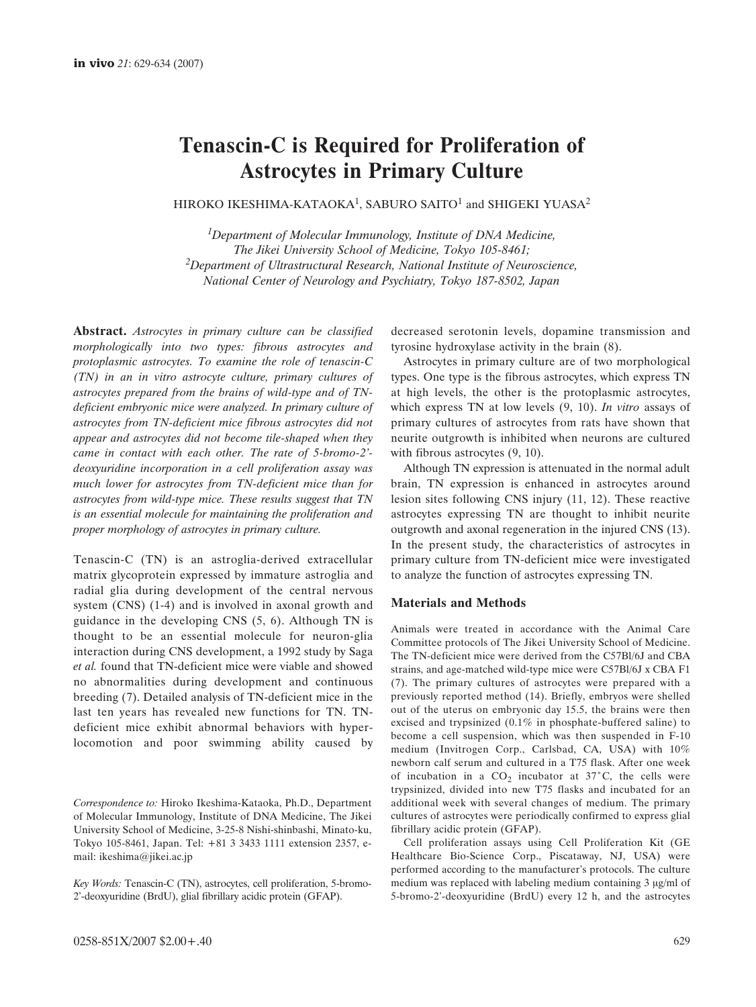# **Tenascin-C is Required for Proliferation of Astrocytes in Primary Culture**

HIROKO IKESHIMA-KATAOKA<sup>1</sup>, SABURO SAITO<sup>1</sup> and SHIGEKI YUASA<sup>2</sup>

*1Department of Molecular Immunology, Institute of DNA Medicine, The Jikei University School of Medicine, Tokyo 105-8461; 2Department of Ultrastructural Research, National Institute of Neuroscience, National Center of Neurology and Psychiatry, Tokyo 187-8502, Japan*

**Abstract.** *Astrocytes in primary culture can be classified morphologically into two types: fibrous astrocytes and protoplasmic astrocytes. To examine the role of tenascin-C (TN) in an in vitro astrocyte culture, primary cultures of astrocytes prepared from the brains of wild-type and of TNdeficient embryonic mice were analyzed. In primary culture of astrocytes from TN-deficient mice fibrous astrocytes did not appear and astrocytes did not become tile-shaped when they came in contact with each other. The rate of 5-bromo-2' deoxyuridine incorporation in a cell proliferation assay was much lower for astrocytes from TN-deficient mice than for astrocytes from wild-type mice. These results suggest that TN is an essential molecule for maintaining the proliferation and proper morphology of astrocytes in primary culture.*

Tenascin-C (TN) is an astroglia-derived extracellular matrix glycoprotein expressed by immature astroglia and radial glia during development of the central nervous system (CNS) (1-4) and is involved in axonal growth and guidance in the developing CNS (5, 6). Although TN is thought to be an essential molecule for neuron-glia interaction during CNS development, a 1992 study by Saga *et al.* found that TN-deficient mice were viable and showed no abnormalities during development and continuous breeding (7). Detailed analysis of TN-deficient mice in the last ten years has revealed new functions for TN. TNdeficient mice exhibit abnormal behaviors with hyperlocomotion and poor swimming ability caused by decreased serotonin levels, dopamine transmission and tyrosine hydroxylase activity in the brain (8).

Astrocytes in primary culture are of two morphological types. One type is the fibrous astrocytes, which express TN at high levels, the other is the protoplasmic astrocytes, which express TN at low levels (9, 10). *In vitro* assays of primary cultures of astrocytes from rats have shown that neurite outgrowth is inhibited when neurons are cultured with fibrous astrocytes (9, 10).

Although TN expression is attenuated in the normal adult brain, TN expression is enhanced in astrocytes around lesion sites following CNS injury (11, 12). These reactive astrocytes expressing TN are thought to inhibit neurite outgrowth and axonal regeneration in the injured CNS (13). In the present study, the characteristics of astrocytes in primary culture from TN-deficient mice were investigated to analyze the function of astrocytes expressing TN.

## **Materials and Methods**

Animals were treated in accordance with the Animal Care Committee protocols of The Jikei University School of Medicine. The TN-deficient mice were derived from the C57Bl/6J and CBA strains, and age-matched wild-type mice were C57Bl/6J x CBA F1 (7). The primary cultures of astrocytes were prepared with a previously reported method (14). Briefly, embryos were shelled out of the uterus on embryonic day 15.5, the brains were then excised and trypsinized (0.1% in phosphate-buffered saline) to become a cell suspension, which was then suspended in F-10 medium (Invitrogen Corp., Carlsbad, CA, USA) with 10% newborn calf serum and cultured in a T75 flask. After one week of incubation in a  $CO<sub>2</sub>$  incubator at 37°C, the cells were trypsinized, divided into new T75 flasks and incubated for an additional week with several changes of medium. The primary cultures of astrocytes were periodically confirmed to express glial fibrillary acidic protein (GFAP).

Cell proliferation assays using Cell Proliferation Kit (GE Healthcare Bio-Science Corp., Piscataway, NJ, USA) were performed according to the manufacturer's protocols. The culture medium was replaced with labeling medium containing  $3 \mu g/ml$  of 5-bromo-2'-deoxyuridine (BrdU) every 12 h, and the astrocytes

*Correspondence to:* Hiroko Ikeshima-Kataoka, Ph.D., Department of Molecular Immunology, Institute of DNA Medicine, The Jikei University School of Medicine, 3-25-8 Nishi-shinbashi, Minato-ku, Tokyo 105-8461, Japan. Tel: +81 3 3433 1111 extension 2357, email: ikeshima@jikei.ac.jp

*Key Words:* Tenascin-C (TN), astrocytes, cell proliferation, 5-bromo-2'-deoxyuridine (BrdU), glial fibrillary acidic protein (GFAP).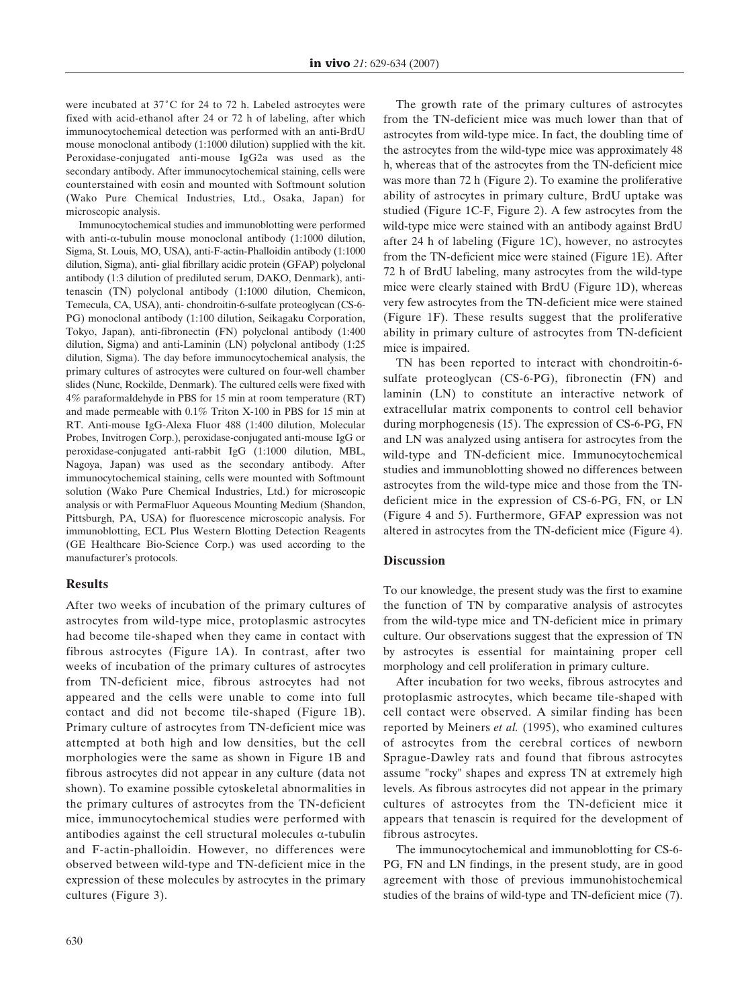were incubated at  $37^{\circ}$ C for 24 to 72 h. Labeled astrocytes were fixed with acid-ethanol after 24 or 72 h of labeling, after which immunocytochemical detection was performed with an anti-BrdU mouse monoclonal antibody (1:1000 dilution) supplied with the kit. Peroxidase-conjugated anti-mouse IgG2a was used as the secondary antibody. After immunocytochemical staining, cells were counterstained with eosin and mounted with Softmount solution (Wako Pure Chemical Industries, Ltd., Osaka, Japan) for microscopic analysis.

Immunocytochemical studies and immunoblotting were performed with anti- $\alpha$ -tubulin mouse monoclonal antibody (1:1000 dilution, Sigma, St. Louis, MO, USA), anti-F-actin-Phalloidin antibody (1:1000 dilution, Sigma), anti- glial fibrillary acidic protein (GFAP) polyclonal antibody (1:3 dilution of prediluted serum, DAKO, Denmark), antitenascin (TN) polyclonal antibody (1:1000 dilution, Chemicon, Temecula, CA, USA), anti- chondroitin-6-sulfate proteoglycan (CS-6- PG) monoclonal antibody (1:100 dilution, Seikagaku Corporation, Tokyo, Japan), anti-fibronectin (FN) polyclonal antibody (1:400 dilution, Sigma) and anti-Laminin (LN) polyclonal antibody (1:25 dilution, Sigma). The day before immunocytochemical analysis, the primary cultures of astrocytes were cultured on four-well chamber slides (Nunc, Rockilde, Denmark). The cultured cells were fixed with 4% paraformaldehyde in PBS for 15 min at room temperature (RT) and made permeable with 0.1% Triton X-100 in PBS for 15 min at RT. Anti-mouse IgG-Alexa Fluor 488 (1:400 dilution, Molecular Probes, Invitrogen Corp.), peroxidase-conjugated anti-mouse IgG or peroxidase-conjugated anti-rabbit IgG (1:1000 dilution, MBL, Nagoya, Japan) was used as the secondary antibody. After immunocytochemical staining, cells were mounted with Softmount solution (Wako Pure Chemical Industries, Ltd.) for microscopic analysis or with PermaFluor Aqueous Mounting Medium (Shandon, Pittsburgh, PA, USA) for fluorescence microscopic analysis. For immunoblotting, ECL Plus Western Blotting Detection Reagents (GE Healthcare Bio-Science Corp.) was used according to the manufacturer's protocols.

#### **Results**

After two weeks of incubation of the primary cultures of astrocytes from wild-type mice, protoplasmic astrocytes had become tile-shaped when they came in contact with fibrous astrocytes (Figure 1A). In contrast, after two weeks of incubation of the primary cultures of astrocytes from TN-deficient mice, fibrous astrocytes had not appeared and the cells were unable to come into full contact and did not become tile-shaped (Figure 1B). Primary culture of astrocytes from TN-deficient mice was attempted at both high and low densities, but the cell morphologies were the same as shown in Figure 1B and fibrous astrocytes did not appear in any culture (data not shown). To examine possible cytoskeletal abnormalities in the primary cultures of astrocytes from the TN-deficient mice, immunocytochemical studies were performed with antibodies against the cell structural molecules  $\alpha$ -tubulin and F-actin-phalloidin. However, no differences were observed between wild-type and TN-deficient mice in the expression of these molecules by astrocytes in the primary cultures (Figure 3).

The growth rate of the primary cultures of astrocytes from the TN-deficient mice was much lower than that of astrocytes from wild-type mice. In fact, the doubling time of the astrocytes from the wild-type mice was approximately 48 h, whereas that of the astrocytes from the TN-deficient mice was more than 72 h (Figure 2). To examine the proliferative ability of astrocytes in primary culture, BrdU uptake was studied (Figure 1C-F, Figure 2). A few astrocytes from the wild-type mice were stained with an antibody against BrdU after 24 h of labeling (Figure 1C), however, no astrocytes from the TN-deficient mice were stained (Figure 1E). After 72 h of BrdU labeling, many astrocytes from the wild-type mice were clearly stained with BrdU (Figure 1D), whereas very few astrocytes from the TN-deficient mice were stained (Figure 1F). These results suggest that the proliferative ability in primary culture of astrocytes from TN-deficient mice is impaired.

TN has been reported to interact with chondroitin-6 sulfate proteoglycan (CS-6-PG), fibronectin (FN) and laminin (LN) to constitute an interactive network of extracellular matrix components to control cell behavior during morphogenesis (15). The expression of CS-6-PG, FN and LN was analyzed using antisera for astrocytes from the wild-type and TN-deficient mice. Immunocytochemical studies and immunoblotting showed no differences between astrocytes from the wild-type mice and those from the TNdeficient mice in the expression of CS-6-PG, FN, or LN (Figure 4 and 5). Furthermore, GFAP expression was not altered in astrocytes from the TN-deficient mice (Figure 4).

#### **Discussion**

To our knowledge, the present study was the first to examine the function of TN by comparative analysis of astrocytes from the wild-type mice and TN-deficient mice in primary culture. Our observations suggest that the expression of TN by astrocytes is essential for maintaining proper cell morphology and cell proliferation in primary culture.

After incubation for two weeks, fibrous astrocytes and protoplasmic astrocytes, which became tile-shaped with cell contact were observed. A similar finding has been reported by Meiners *et al.* (1995), who examined cultures of astrocytes from the cerebral cortices of newborn Sprague-Dawley rats and found that fibrous astrocytes assume "rocky" shapes and express TN at extremely high levels. As fibrous astrocytes did not appear in the primary cultures of astrocytes from the TN-deficient mice it appears that tenascin is required for the development of fibrous astrocytes.

The immunocytochemical and immunoblotting for CS-6- PG, FN and LN findings, in the present study, are in good agreement with those of previous immunohistochemical studies of the brains of wild-type and TN-deficient mice (7).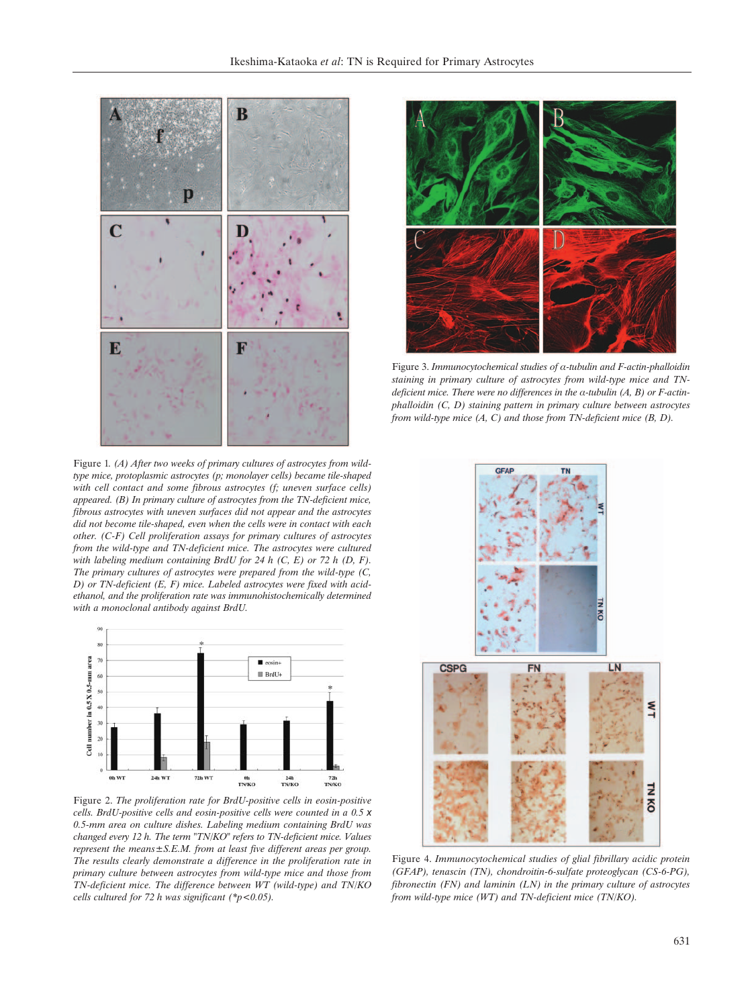

Figure 1*. (A) After two weeks of primary cultures of astrocytes from wildtype mice, protoplasmic astrocytes (p; monolayer cells) became tile-shaped with cell contact and some fibrous astrocytes (f; uneven surface cells) appeared. (B) In primary culture of astrocytes from the TN-deficient mice, fibrous astrocytes with uneven surfaces did not appear and the astrocytes did not become tile-shaped, even when the cells were in contact with each other. (C-F) Cell proliferation assays for primary cultures of astrocytes from the wild-type and TN-deficient mice. The astrocytes were cultured with labeling medium containing BrdU for 24 h (C, E) or 72 h (D, F). The primary cultures of astrocytes were prepared from the wild-type (C, D) or TN-deficient (E, F) mice. Labeled astrocytes were fixed with acidethanol, and the proliferation rate was immunohistochemically determined with a monoclonal antibody against BrdU.*



Figure 2. *The proliferation rate for BrdU-positive cells in eosin-positive cells. BrdU-positive cells and eosin-positive cells were counted in a 0.5 x 0.5-mm area on culture dishes. Labeling medium containing BrdU was changed every 12 h. The term "TN/KO" refers to TN-deficient mice. Values represent the means±S.E.M. from at least five different areas per group. The results clearly demonstrate a difference in the proliferation rate in primary culture between astrocytes from wild-type mice and those from TN-deficient mice. The difference between WT (wild-type) and TN/KO cells cultured for 72 h was significant (\*p<0.05).*



Figure 3. *Immunocytochemical studies of*  $\alpha$ *-tubulin and F-actin-phalloidin staining in primary culture of astrocytes from wild-type mice and TN*deficient mice. There were no differences in the  $\alpha$ -tubulin  $(A, B)$  or F-actin*phalloidin (C, D) staining pattern in primary culture between astrocytes from wild-type mice (A, C) and those from TN-deficient mice (B, D).*



Figure 4. *Immunocytochemical studies of glial fibrillary acidic protein (GFAP), tenascin (TN), chondroitin-6-sulfate proteoglycan (CS-6-PG), fibronectin (FN) and laminin (LN) in the primary culture of astrocytes from wild-type mice (WT) and TN-deficient mice (TN/KO).*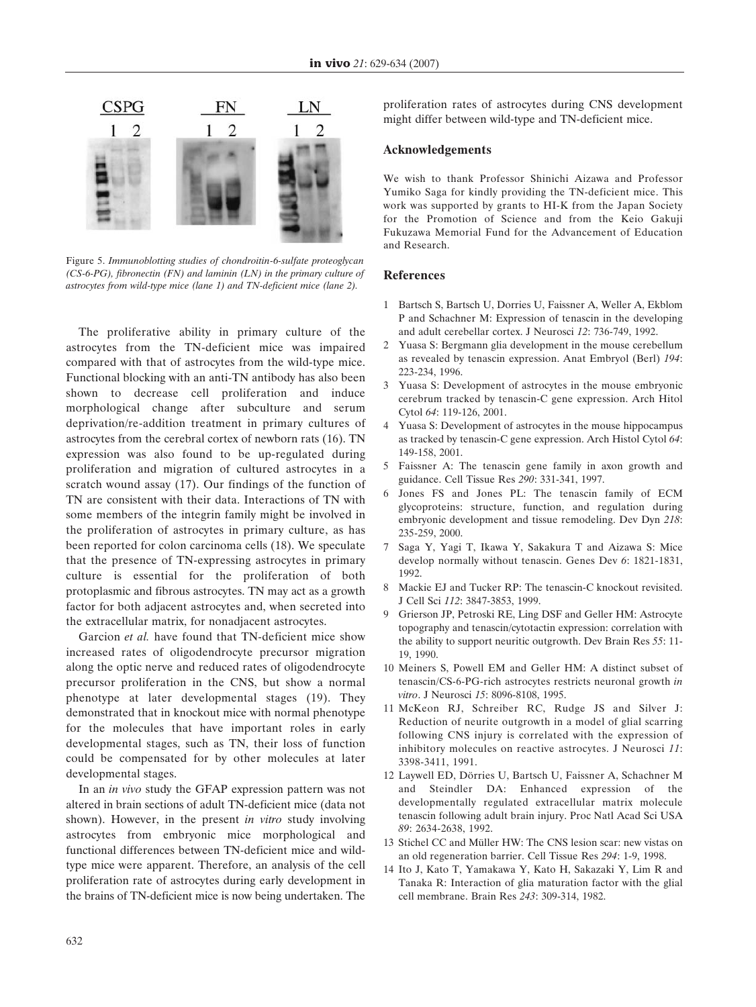

Figure 5. *Immunoblotting studies of chondroitin-6-sulfate proteoglycan (CS-6-PG), fibronectin (FN) and laminin (LN) in the primary culture of astrocytes from wild-type mice (lane 1) and TN-deficient mice (lane 2).*

The proliferative ability in primary culture of the astrocytes from the TN-deficient mice was impaired compared with that of astrocytes from the wild-type mice. Functional blocking with an anti-TN antibody has also been shown to decrease cell proliferation and induce morphological change after subculture and serum deprivation/re-addition treatment in primary cultures of astrocytes from the cerebral cortex of newborn rats (16). TN expression was also found to be up-regulated during proliferation and migration of cultured astrocytes in a scratch wound assay (17). Our findings of the function of TN are consistent with their data. Interactions of TN with some members of the integrin family might be involved in the proliferation of astrocytes in primary culture, as has been reported for colon carcinoma cells (18). We speculate that the presence of TN-expressing astrocytes in primary culture is essential for the proliferation of both protoplasmic and fibrous astrocytes. TN may act as a growth factor for both adjacent astrocytes and, when secreted into the extracellular matrix, for nonadjacent astrocytes.

Garcion *et al.* have found that TN-deficient mice show increased rates of oligodendrocyte precursor migration along the optic nerve and reduced rates of oligodendrocyte precursor proliferation in the CNS, but show a normal phenotype at later developmental stages (19). They demonstrated that in knockout mice with normal phenotype for the molecules that have important roles in early developmental stages, such as TN, their loss of function could be compensated for by other molecules at later developmental stages.

In an *in vivo* study the GFAP expression pattern was not altered in brain sections of adult TN-deficient mice (data not shown). However, in the present *in vitro* study involving astrocytes from embryonic mice morphological and functional differences between TN-deficient mice and wildtype mice were apparent. Therefore, an analysis of the cell proliferation rate of astrocytes during early development in the brains of TN-deficient mice is now being undertaken. The

proliferation rates of astrocytes during CNS development might differ between wild-type and TN-deficient mice.

### **Acknowledgements**

We wish to thank Professor Shinichi Aizawa and Professor Yumiko Saga for kindly providing the TN-deficient mice. This work was supported by grants to HI-K from the Japan Society for the Promotion of Science and from the Keio Gakuji Fukuzawa Memorial Fund for the Advancement of Education and Research.

# **References**

- 1 Bartsch S, Bartsch U, Dorries U, Faissner A, Weller A, Ekblom P and Schachner M: Expression of tenascin in the developing and adult cerebellar cortex. J Neurosci *12*: 736-749, 1992.
- 2 Yuasa S: Bergmann glia development in the mouse cerebellum as revealed by tenascin expression. Anat Embryol (Berl) *194*: 223-234, 1996.
- 3 Yuasa S: Development of astrocytes in the mouse embryonic cerebrum tracked by tenascin-C gene expression. Arch Hitol Cytol *64*: 119-126, 2001.
- 4 Yuasa S: Development of astrocytes in the mouse hippocampus as tracked by tenascin-C gene expression. Arch Histol Cytol *64*: 149-158, 2001.
- 5 Faissner A: The tenascin gene family in axon growth and guidance. Cell Tissue Res *290*: 331-341, 1997.
- Jones FS and Jones PL: The tenascin family of ECM glycoproteins: structure, function, and regulation during embryonic development and tissue remodeling. Dev Dyn *218*: 235-259, 2000.
- 7 Saga Y, Yagi T, Ikawa Y, Sakakura T and Aizawa S: Mice develop normally without tenascin. Genes Dev *6*: 1821-1831, 1992.
- 8 Mackie EJ and Tucker RP: The tenascin-C knockout revisited. J Cell Sci *112*: 3847-3853, 1999.
- 9 Grierson JP, Petroski RE, Ling DSF and Geller HM: Astrocyte topography and tenascin/cytotactin expression: correlation with the ability to support neuritic outgrowth. Dev Brain Res *55*: 11- 19, 1990.
- 10 Meiners S, Powell EM and Geller HM: A distinct subset of tenascin/CS-6-PG-rich astrocytes restricts neuronal growth *in vitro*. J Neurosci *15*: 8096-8108, 1995.
- 11 McKeon RJ, Schreiber RC, Rudge JS and Silver J: Reduction of neurite outgrowth in a model of glial scarring following CNS injury is correlated with the expression of inhibitory molecules on reactive astrocytes. J Neurosci *11*: 3398-3411, 1991.
- 12 Laywell ED, Dörries U, Bartsch U, Faissner A, Schachner M and Steindler DA: Enhanced expression of the developmentally regulated extracellular matrix molecule tenascin following adult brain injury. Proc Natl Acad Sci USA *89*: 2634-2638, 1992.
- 13 Stichel CC and Müller HW: The CNS lesion scar: new vistas on an old regeneration barrier. Cell Tissue Res *294*: 1-9, 1998.
- 14 Ito J, Kato T, Yamakawa Y, Kato H, Sakazaki Y, Lim R and Tanaka R: Interaction of glia maturation factor with the glial cell membrane. Brain Res *243*: 309-314, 1982.